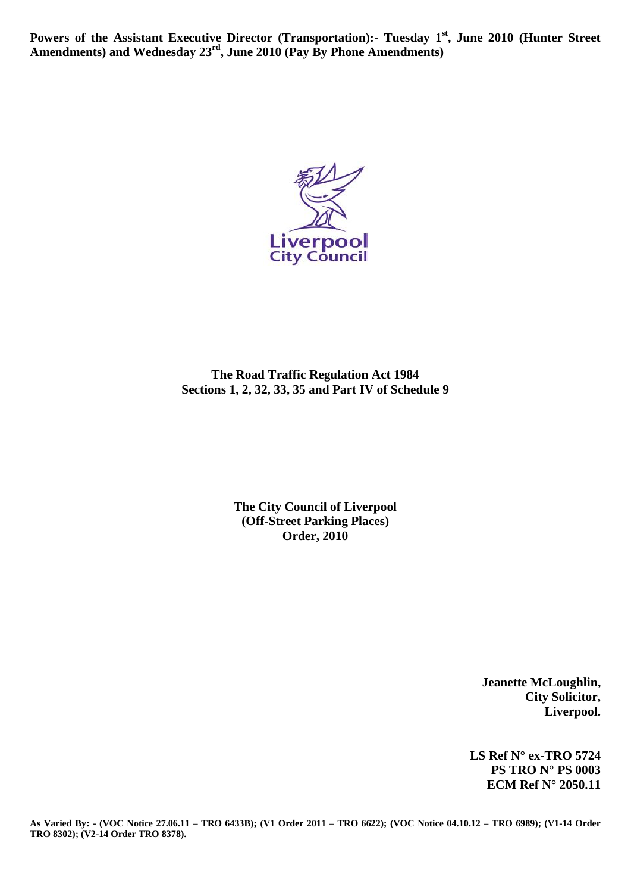**Powers of the Assistant Executive Director (Transportation):- Tuesday 1st, June 2010 (Hunter Street Amendments) and Wednesday 23rd, June 2010 (Pay By Phone Amendments)**



**The Road Traffic Regulation Act 1984 Sections 1, 2, 32, 33, 35 and Part IV of Schedule 9**

> **The City Council of Liverpool (Off-Street Parking Places) Order, 2010**

> > **Jeanette McLoughlin, City Solicitor, Liverpool.**

**LS Ref N° ex-TRO 5724 PS TRO N° PS 0003 ECM Ref N° 2050.11**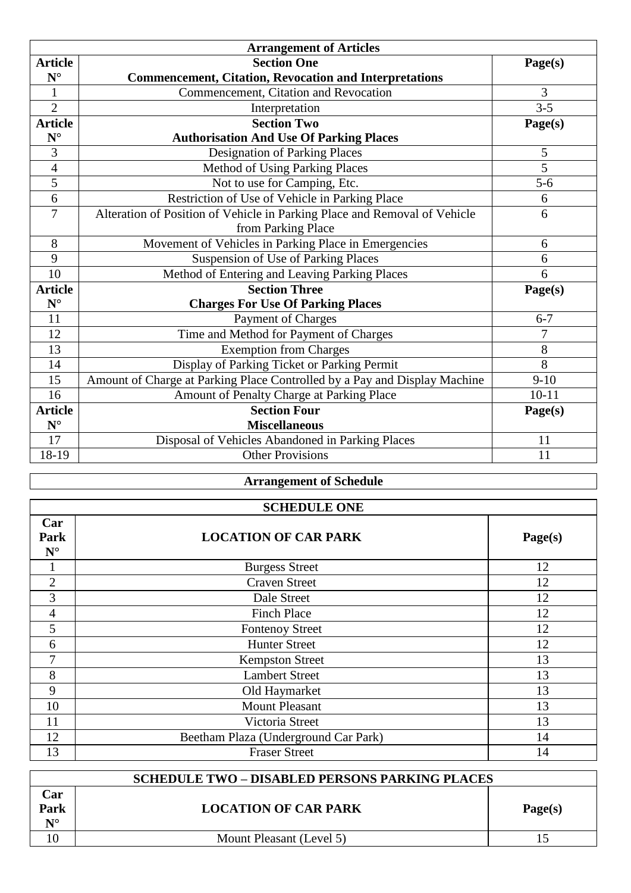| <b>Arrangement of Articles</b> |                                                                           |           |  |  |
|--------------------------------|---------------------------------------------------------------------------|-----------|--|--|
| <b>Article</b>                 | <b>Section One</b>                                                        | Page(s)   |  |  |
| $N^{\circ}$                    | <b>Commencement, Citation, Revocation and Interpretations</b>             |           |  |  |
| $\mathbf{1}$                   | Commencement, Citation and Revocation                                     | 3         |  |  |
| $\overline{2}$                 | Interpretation                                                            | $3 - 5$   |  |  |
| <b>Article</b>                 | <b>Section Two</b>                                                        | Page(s)   |  |  |
| $\mathbf{N}^\circ$             | <b>Authorisation And Use Of Parking Places</b>                            |           |  |  |
| 3                              | <b>Designation of Parking Places</b>                                      | 5         |  |  |
| $\overline{4}$                 | <b>Method of Using Parking Places</b>                                     | 5         |  |  |
| 5                              | Not to use for Camping, Etc.                                              | $5 - 6$   |  |  |
| 6                              | Restriction of Use of Vehicle in Parking Place                            | 6         |  |  |
| 7                              | Alteration of Position of Vehicle in Parking Place and Removal of Vehicle | 6         |  |  |
|                                | from Parking Place                                                        |           |  |  |
| 8                              | Movement of Vehicles in Parking Place in Emergencies                      | 6         |  |  |
| 9                              | <b>Suspension of Use of Parking Places</b>                                | 6         |  |  |
| 10                             | Method of Entering and Leaving Parking Places                             | 6         |  |  |
| <b>Article</b>                 | <b>Section Three</b>                                                      | Page(s)   |  |  |
| $N^{\circ}$                    | <b>Charges For Use Of Parking Places</b>                                  |           |  |  |
| 11                             | <b>Payment of Charges</b>                                                 | $6 - 7$   |  |  |
| 12                             | Time and Method for Payment of Charges                                    | 7         |  |  |
| 13                             | <b>Exemption from Charges</b>                                             | 8         |  |  |
| 14                             | Display of Parking Ticket or Parking Permit                               | 8         |  |  |
| 15                             | Amount of Charge at Parking Place Controlled by a Pay and Display Machine | $9-10$    |  |  |
| 16                             | Amount of Penalty Charge at Parking Place                                 | $10 - 11$ |  |  |
| <b>Article</b>                 | <b>Section Four</b>                                                       | Page(s)   |  |  |
| $N^{\circ}$                    | <b>Miscellaneous</b>                                                      |           |  |  |
| 17                             | Disposal of Vehicles Abandoned in Parking Places                          | 11        |  |  |
| 18-19                          | <b>Other Provisions</b>                                                   | 11        |  |  |

# **Arrangement of Schedule**

| <b>SCHEDULE ONE</b>        |                                      |    |  |  |  |  |
|----------------------------|--------------------------------------|----|--|--|--|--|
| Car<br>Park<br>$N^{\circ}$ | <b>LOCATION OF CAR PARK</b>          |    |  |  |  |  |
|                            | <b>Burgess Street</b>                | 12 |  |  |  |  |
| $\overline{2}$             | <b>Craven Street</b>                 | 12 |  |  |  |  |
| 3                          | Dale Street                          | 12 |  |  |  |  |
| 4                          | <b>Finch Place</b>                   | 12 |  |  |  |  |
| 5                          | <b>Fontenoy Street</b>               | 12 |  |  |  |  |
| 6                          | <b>Hunter Street</b>                 | 12 |  |  |  |  |
| 7                          | <b>Kempston Street</b>               | 13 |  |  |  |  |
| 8                          | <b>Lambert Street</b>                | 13 |  |  |  |  |
| 9                          | Old Haymarket                        | 13 |  |  |  |  |
| 10                         | <b>Mount Pleasant</b>                | 13 |  |  |  |  |
| 11                         | Victoria Street                      | 13 |  |  |  |  |
| 12                         | Beetham Plaza (Underground Car Park) | 14 |  |  |  |  |
| 13                         | <b>Fraser Street</b>                 | 14 |  |  |  |  |

|                                     | <b>SCHEDULE TWO – DISABLED PERSONS PARKING PLACES</b> |         |
|-------------------------------------|-------------------------------------------------------|---------|
| Car<br>Park<br>$\mathbf{N}^{\circ}$ | <b>LOCATION OF CAR PARK</b>                           | Page(s) |
| 10                                  | Mount Pleasant (Level 5)                              |         |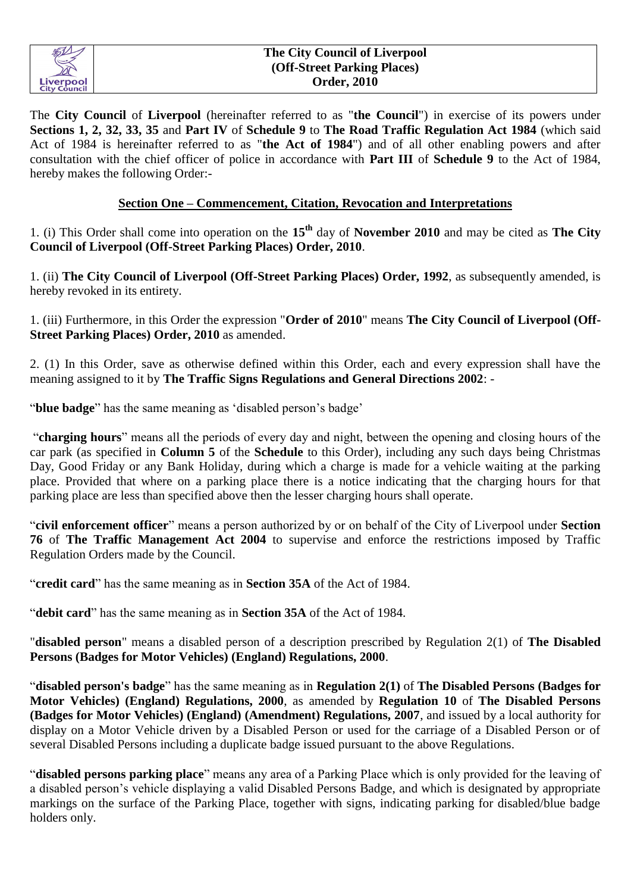

#### **The City Council of Liverpool (Off-Street Parking Places) Order, 2010**

The **City Council** of **Liverpool** (hereinafter referred to as "**the Council**") in exercise of its powers under **Sections 1, 2, 32, 33, 35** and **Part IV** of **Schedule 9** to **The Road Traffic Regulation Act 1984** (which said Act of 1984 is hereinafter referred to as "**the Act of 1984**") and of all other enabling powers and after consultation with the chief officer of police in accordance with **Part III** of **Schedule 9** to the Act of 1984, hereby makes the following Order:-

## **Section One – Commencement, Citation, Revocation and Interpretations**

1. (i) This Order shall come into operation on the **15th** day of **November 2010** and may be cited as **The City Council of Liverpool (Off-Street Parking Places) Order, 2010**.

1. (ii) **The City Council of Liverpool (Off-Street Parking Places) Order, 1992**, as subsequently amended, is hereby revoked in its entirety.

1. (iii) Furthermore, in this Order the expression "**Order of 2010**" means **The City Council of Liverpool (Off-Street Parking Places) Order, 2010** as amended.

2. (1) In this Order, save as otherwise defined within this Order, each and every expression shall have the meaning assigned to it by **The Traffic Signs Regulations and General Directions 2002**: -

"**blue badge**" has the same meaning as 'disabled person's badge'

"**charging hours**" means all the periods of every day and night, between the opening and closing hours of the car park (as specified in **Column 5** of the **Schedule** to this Order), including any such days being Christmas Day, Good Friday or any Bank Holiday, during which a charge is made for a vehicle waiting at the parking place. Provided that where on a parking place there is a notice indicating that the charging hours for that parking place are less than specified above then the lesser charging hours shall operate.

"**civil enforcement officer**" means a person authorized by or on behalf of the City of Liverpool under **Section 76** of **The Traffic Management Act 2004** to supervise and enforce the restrictions imposed by Traffic Regulation Orders made by the Council.

"**credit card**" has the same meaning as in **Section 35A** of the Act of 1984.

"**debit card**" has the same meaning as in **Section 35A** of the Act of 1984.

"**disabled person**" means a disabled person of a description prescribed by Regulation 2(1) of **The Disabled Persons (Badges for Motor Vehicles) (England) Regulations, 2000**.

"**disabled person's badge**" has the same meaning as in **Regulation 2(1)** of **The Disabled Persons (Badges for Motor Vehicles) (England) Regulations, 2000**, as amended by **Regulation 10** of **The Disabled Persons (Badges for Motor Vehicles) (England) (Amendment) Regulations, 2007**, and issued by a local authority for display on a Motor Vehicle driven by a Disabled Person or used for the carriage of a Disabled Person or of several Disabled Persons including a duplicate badge issued pursuant to the above Regulations.

"**disabled persons parking place**" means any area of a Parking Place which is only provided for the leaving of a disabled person's vehicle displaying a valid Disabled Persons Badge, and which is designated by appropriate markings on the surface of the Parking Place, together with signs, indicating parking for disabled/blue badge holders only.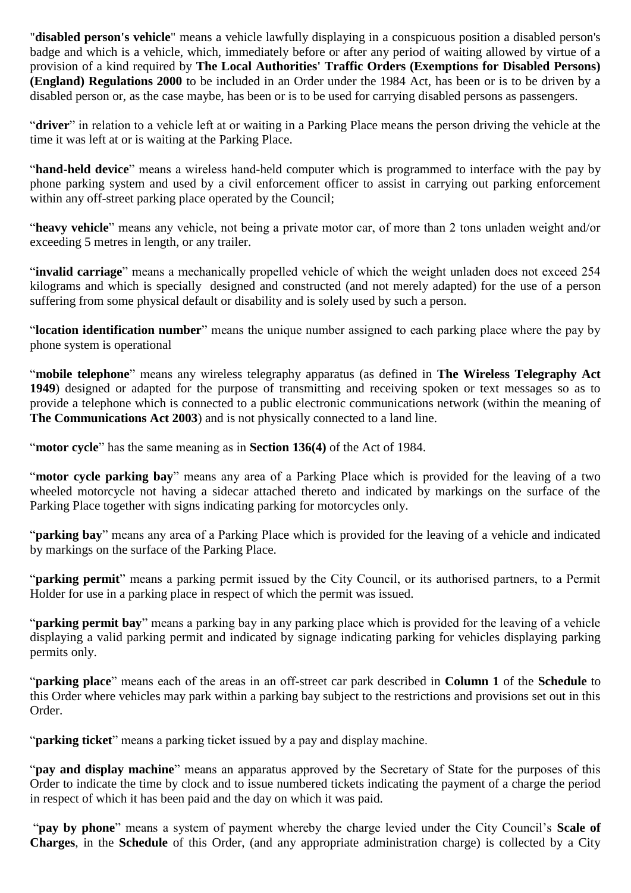"**disabled person's vehicle**" means a vehicle lawfully displaying in a conspicuous position a disabled person's badge and which is a vehicle, which, immediately before or after any period of waiting allowed by virtue of a provision of a kind required by **The Local Authorities' Traffic Orders (Exemptions for Disabled Persons) (England) Regulations 2000** to be included in an Order under the 1984 Act, has been or is to be driven by a disabled person or, as the case maybe, has been or is to be used for carrying disabled persons as passengers.

"**driver**" in relation to a vehicle left at or waiting in a Parking Place means the person driving the vehicle at the time it was left at or is waiting at the Parking Place.

"**hand-held device**" means a wireless hand-held computer which is programmed to interface with the pay by phone parking system and used by a civil enforcement officer to assist in carrying out parking enforcement within any off-street parking place operated by the Council;

"**heavy vehicle**" means any vehicle, not being a private motor car, of more than 2 tons unladen weight and/or exceeding 5 metres in length, or any trailer.

"**invalid carriage**" means a mechanically propelled vehicle of which the weight unladen does not exceed 254 kilograms and which is specially designed and constructed (and not merely adapted) for the use of a person suffering from some physical default or disability and is solely used by such a person.

"**location identification number**" means the unique number assigned to each parking place where the pay by phone system is operational

"**mobile telephone**" means any wireless telegraphy apparatus (as defined in **The Wireless Telegraphy Act 1949**) designed or adapted for the purpose of transmitting and receiving spoken or text messages so as to provide a telephone which is connected to a public electronic communications network (within the meaning of **The Communications Act 2003**) and is not physically connected to a land line.

"**motor cycle**" has the same meaning as in **Section 136(4)** of the Act of 1984.

"**motor cycle parking bay**" means any area of a Parking Place which is provided for the leaving of a two wheeled motorcycle not having a sidecar attached thereto and indicated by markings on the surface of the Parking Place together with signs indicating parking for motorcycles only.

"**parking bay**" means any area of a Parking Place which is provided for the leaving of a vehicle and indicated by markings on the surface of the Parking Place.

"**parking permit**" means a parking permit issued by the City Council, or its authorised partners, to a Permit Holder for use in a parking place in respect of which the permit was issued.

"**parking permit bay**" means a parking bay in any parking place which is provided for the leaving of a vehicle displaying a valid parking permit and indicated by signage indicating parking for vehicles displaying parking permits only.

"**parking place**" means each of the areas in an off-street car park described in **Column 1** of the **Schedule** to this Order where vehicles may park within a parking bay subject to the restrictions and provisions set out in this Order.

"**parking ticket**" means a parking ticket issued by a pay and display machine.

"**pay and display machine**" means an apparatus approved by the Secretary of State for the purposes of this Order to indicate the time by clock and to issue numbered tickets indicating the payment of a charge the period in respect of which it has been paid and the day on which it was paid.

"**pay by phone**" means a system of payment whereby the charge levied under the City Council's **Scale of Charges**, in the **Schedule** of this Order, (and any appropriate administration charge) is collected by a City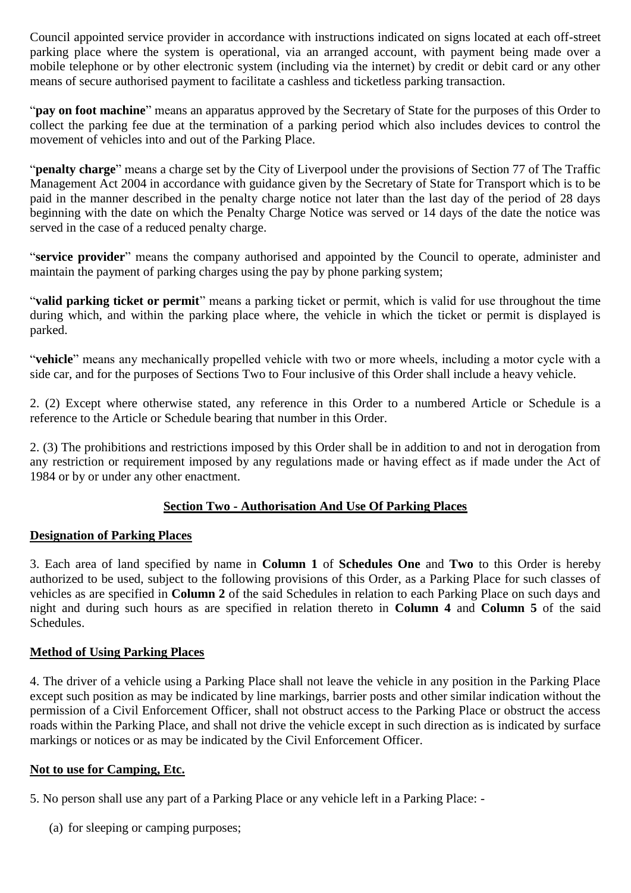Council appointed service provider in accordance with instructions indicated on signs located at each off-street parking place where the system is operational, via an arranged account, with payment being made over a mobile telephone or by other electronic system (including via the internet) by credit or debit card or any other means of secure authorised payment to facilitate a cashless and ticketless parking transaction.

"**pay on foot machine**" means an apparatus approved by the Secretary of State for the purposes of this Order to collect the parking fee due at the termination of a parking period which also includes devices to control the movement of vehicles into and out of the Parking Place.

"**penalty charge**" means a charge set by the City of Liverpool under the provisions of Section 77 of The Traffic Management Act 2004 in accordance with guidance given by the Secretary of State for Transport which is to be paid in the manner described in the penalty charge notice not later than the last day of the period of 28 days beginning with the date on which the Penalty Charge Notice was served or 14 days of the date the notice was served in the case of a reduced penalty charge.

"**service provider**" means the company authorised and appointed by the Council to operate, administer and maintain the payment of parking charges using the pay by phone parking system;

"**valid parking ticket or permit**" means a parking ticket or permit, which is valid for use throughout the time during which, and within the parking place where, the vehicle in which the ticket or permit is displayed is parked.

"**vehicle**" means any mechanically propelled vehicle with two or more wheels, including a motor cycle with a side car, and for the purposes of Sections Two to Four inclusive of this Order shall include a heavy vehicle.

2. (2) Except where otherwise stated, any reference in this Order to a numbered Article or Schedule is a reference to the Article or Schedule bearing that number in this Order.

2. (3) The prohibitions and restrictions imposed by this Order shall be in addition to and not in derogation from any restriction or requirement imposed by any regulations made or having effect as if made under the Act of 1984 or by or under any other enactment.

#### **Section Two - Authorisation And Use Of Parking Places**

#### **Designation of Parking Places**

3. Each area of land specified by name in **Column 1** of **Schedules One** and **Two** to this Order is hereby authorized to be used, subject to the following provisions of this Order, as a Parking Place for such classes of vehicles as are specified in **Column 2** of the said Schedules in relation to each Parking Place on such days and night and during such hours as are specified in relation thereto in **Column 4** and **Column 5** of the said Schedules.

#### **Method of Using Parking Places**

4. The driver of a vehicle using a Parking Place shall not leave the vehicle in any position in the Parking Place except such position as may be indicated by line markings, barrier posts and other similar indication without the permission of a Civil Enforcement Officer, shall not obstruct access to the Parking Place or obstruct the access roads within the Parking Place, and shall not drive the vehicle except in such direction as is indicated by surface markings or notices or as may be indicated by the Civil Enforcement Officer.

#### **Not to use for Camping, Etc.**

5. No person shall use any part of a Parking Place or any vehicle left in a Parking Place: -

(a) for sleeping or camping purposes;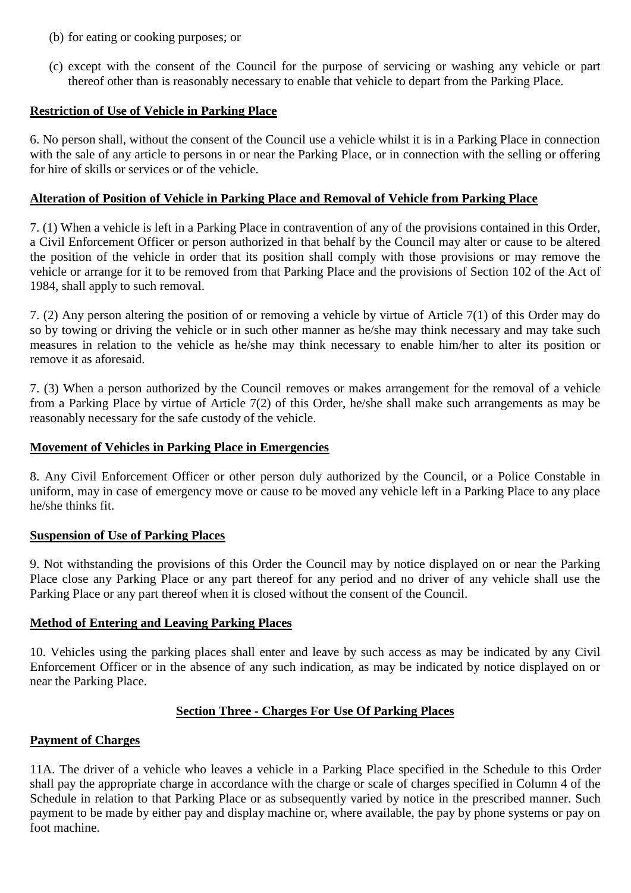- (b) for eating or cooking purposes; or
- (c) except with the consent of the Council for the purpose of servicing or washing any vehicle or part thereof other than is reasonably necessary to enable that vehicle to depart from the Parking Place.

## **Restriction of Use of Vehicle in Parking Place**

6. No person shall, without the consent of the Council use a vehicle whilst it is in a Parking Place in connection with the sale of any article to persons in or near the Parking Place, or in connection with the selling or offering for hire of skills or services or of the vehicle.

#### **Alteration of Position of Vehicle in Parking Place and Removal of Vehicle from Parking Place**

7. (1) When a vehicle is left in a Parking Place in contravention of any of the provisions contained in this Order, a Civil Enforcement Officer or person authorized in that behalf by the Council may alter or cause to be altered the position of the vehicle in order that its position shall comply with those provisions or may remove the vehicle or arrange for it to be removed from that Parking Place and the provisions of Section 102 of the Act of 1984, shall apply to such removal.

7. (2) Any person altering the position of or removing a vehicle by virtue of Article 7(1) of this Order may do so by towing or driving the vehicle or in such other manner as he/she may think necessary and may take such measures in relation to the vehicle as he/she may think necessary to enable him/her to alter its position or remove it as aforesaid.

7. (3) When a person authorized by the Council removes or makes arrangement for the removal of a vehicle from a Parking Place by virtue of Article 7(2) of this Order, he/she shall make such arrangements as may be reasonably necessary for the safe custody of the vehicle.

#### **Movement of Vehicles in Parking Place in Emergencies**

8. Any Civil Enforcement Officer or other person duly authorized by the Council, or a Police Constable in uniform, may in case of emergency move or cause to be moved any vehicle left in a Parking Place to any place he/she thinks fit.

#### **Suspension of Use of Parking Places**

9. Not withstanding the provisions of this Order the Council may by notice displayed on or near the Parking Place close any Parking Place or any part thereof for any period and no driver of any vehicle shall use the Parking Place or any part thereof when it is closed without the consent of the Council.

#### **Method of Entering and Leaving Parking Places**

10. Vehicles using the parking places shall enter and leave by such access as may be indicated by any Civil Enforcement Officer or in the absence of any such indication, as may be indicated by notice displayed on or near the Parking Place.

# **Section Three - Charges For Use Of Parking Places**

#### **Payment of Charges**

11A. The driver of a vehicle who leaves a vehicle in a Parking Place specified in the Schedule to this Order shall pay the appropriate charge in accordance with the charge or scale of charges specified in Column 4 of the Schedule in relation to that Parking Place or as subsequently varied by notice in the prescribed manner. Such payment to be made by either pay and display machine or, where available, the pay by phone systems or pay on foot machine.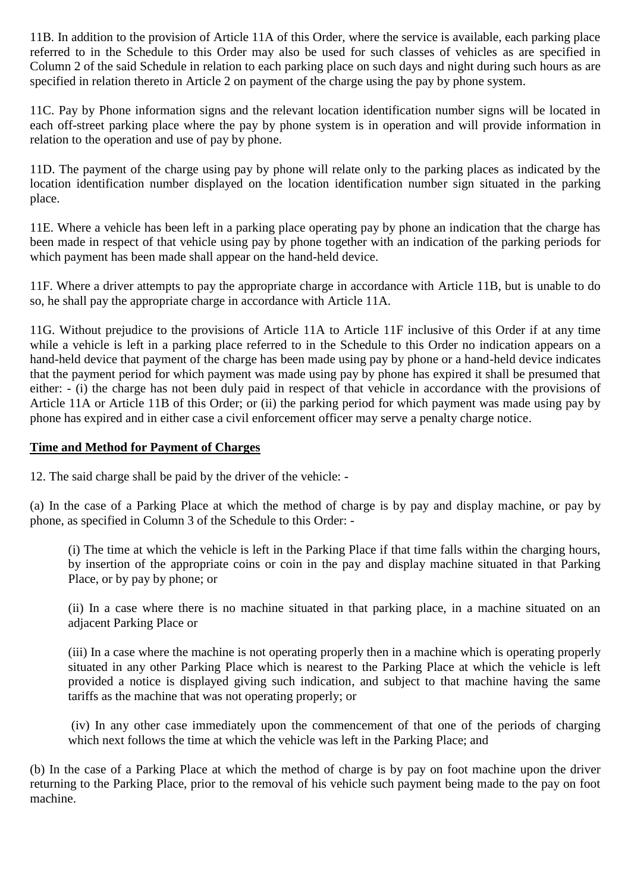11B. In addition to the provision of Article 11A of this Order, where the service is available, each parking place referred to in the Schedule to this Order may also be used for such classes of vehicles as are specified in Column 2 of the said Schedule in relation to each parking place on such days and night during such hours as are specified in relation thereto in Article 2 on payment of the charge using the pay by phone system.

11C. Pay by Phone information signs and the relevant location identification number signs will be located in each off-street parking place where the pay by phone system is in operation and will provide information in relation to the operation and use of pay by phone.

11D. The payment of the charge using pay by phone will relate only to the parking places as indicated by the location identification number displayed on the location identification number sign situated in the parking place.

11E. Where a vehicle has been left in a parking place operating pay by phone an indication that the charge has been made in respect of that vehicle using pay by phone together with an indication of the parking periods for which payment has been made shall appear on the hand-held device.

11F. Where a driver attempts to pay the appropriate charge in accordance with Article 11B, but is unable to do so, he shall pay the appropriate charge in accordance with Article 11A.

11G. Without prejudice to the provisions of Article 11A to Article 11F inclusive of this Order if at any time while a vehicle is left in a parking place referred to in the Schedule to this Order no indication appears on a hand-held device that payment of the charge has been made using pay by phone or a hand-held device indicates that the payment period for which payment was made using pay by phone has expired it shall be presumed that either: - (i) the charge has not been duly paid in respect of that vehicle in accordance with the provisions of Article 11A or Article 11B of this Order; or (ii) the parking period for which payment was made using pay by phone has expired and in either case a civil enforcement officer may serve a penalty charge notice.

#### **Time and Method for Payment of Charges**

12. The said charge shall be paid by the driver of the vehicle: -

(a) In the case of a Parking Place at which the method of charge is by pay and display machine, or pay by phone, as specified in Column 3 of the Schedule to this Order: -

(i) The time at which the vehicle is left in the Parking Place if that time falls within the charging hours, by insertion of the appropriate coins or coin in the pay and display machine situated in that Parking Place, or by pay by phone; or

(ii) In a case where there is no machine situated in that parking place, in a machine situated on an adjacent Parking Place or

(iii) In a case where the machine is not operating properly then in a machine which is operating properly situated in any other Parking Place which is nearest to the Parking Place at which the vehicle is left provided a notice is displayed giving such indication, and subject to that machine having the same tariffs as the machine that was not operating properly; or

(iv) In any other case immediately upon the commencement of that one of the periods of charging which next follows the time at which the vehicle was left in the Parking Place; and

(b) In the case of a Parking Place at which the method of charge is by pay on foot machine upon the driver returning to the Parking Place, prior to the removal of his vehicle such payment being made to the pay on foot machine.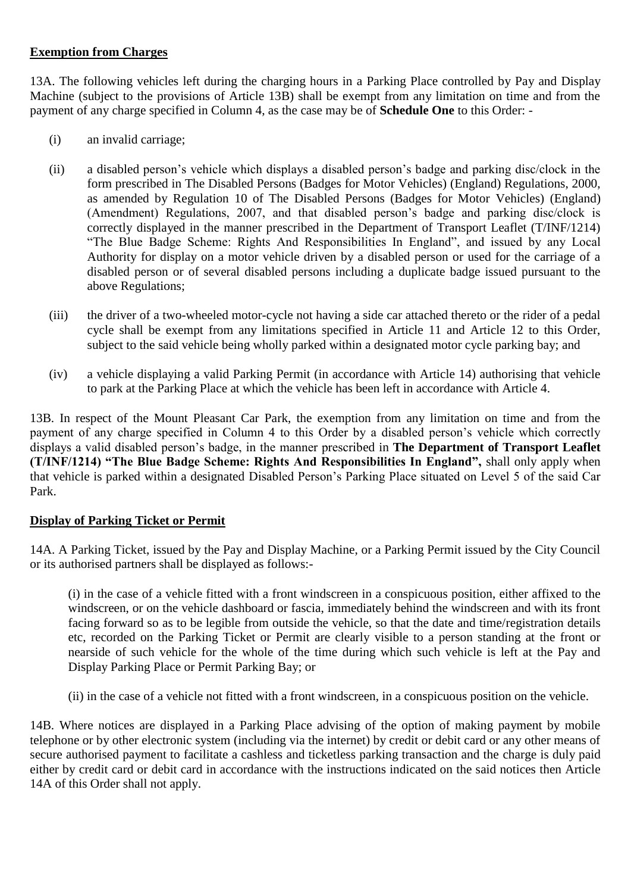## **Exemption from Charges**

13A. The following vehicles left during the charging hours in a Parking Place controlled by Pay and Display Machine (subject to the provisions of Article 13B) shall be exempt from any limitation on time and from the payment of any charge specified in Column 4, as the case may be of **Schedule One** to this Order: -

- (i) an invalid carriage;
- (ii) a disabled person's vehicle which displays a disabled person's badge and parking disc/clock in the form prescribed in The Disabled Persons (Badges for Motor Vehicles) (England) Regulations, 2000, as amended by Regulation 10 of The Disabled Persons (Badges for Motor Vehicles) (England) (Amendment) Regulations, 2007, and that disabled person's badge and parking disc/clock is correctly displayed in the manner prescribed in the Department of Transport Leaflet (T/INF/1214) "The Blue Badge Scheme: Rights And Responsibilities In England", and issued by any Local Authority for display on a motor vehicle driven by a disabled person or used for the carriage of a disabled person or of several disabled persons including a duplicate badge issued pursuant to the above Regulations;
- (iii) the driver of a two-wheeled motor-cycle not having a side car attached thereto or the rider of a pedal cycle shall be exempt from any limitations specified in Article 11 and Article 12 to this Order, subject to the said vehicle being wholly parked within a designated motor cycle parking bay; and
- (iv) a vehicle displaying a valid Parking Permit (in accordance with Article 14) authorising that vehicle to park at the Parking Place at which the vehicle has been left in accordance with Article 4.

13B. In respect of the Mount Pleasant Car Park, the exemption from any limitation on time and from the payment of any charge specified in Column 4 to this Order by a disabled person's vehicle which correctly displays a valid disabled person's badge, in the manner prescribed in **The Department of Transport Leaflet (T/INF/1214) "The Blue Badge Scheme: Rights And Responsibilities In England",** shall only apply when that vehicle is parked within a designated Disabled Person's Parking Place situated on Level 5 of the said Car Park.

#### **Display of Parking Ticket or Permit**

14A. A Parking Ticket, issued by the Pay and Display Machine, or a Parking Permit issued by the City Council or its authorised partners shall be displayed as follows:-

(i) in the case of a vehicle fitted with a front windscreen in a conspicuous position, either affixed to the windscreen, or on the vehicle dashboard or fascia, immediately behind the windscreen and with its front facing forward so as to be legible from outside the vehicle, so that the date and time/registration details etc, recorded on the Parking Ticket or Permit are clearly visible to a person standing at the front or nearside of such vehicle for the whole of the time during which such vehicle is left at the Pay and Display Parking Place or Permit Parking Bay; or

(ii) in the case of a vehicle not fitted with a front windscreen, in a conspicuous position on the vehicle.

14B. Where notices are displayed in a Parking Place advising of the option of making payment by mobile telephone or by other electronic system (including via the internet) by credit or debit card or any other means of secure authorised payment to facilitate a cashless and ticketless parking transaction and the charge is duly paid either by credit card or debit card in accordance with the instructions indicated on the said notices then Article 14A of this Order shall not apply.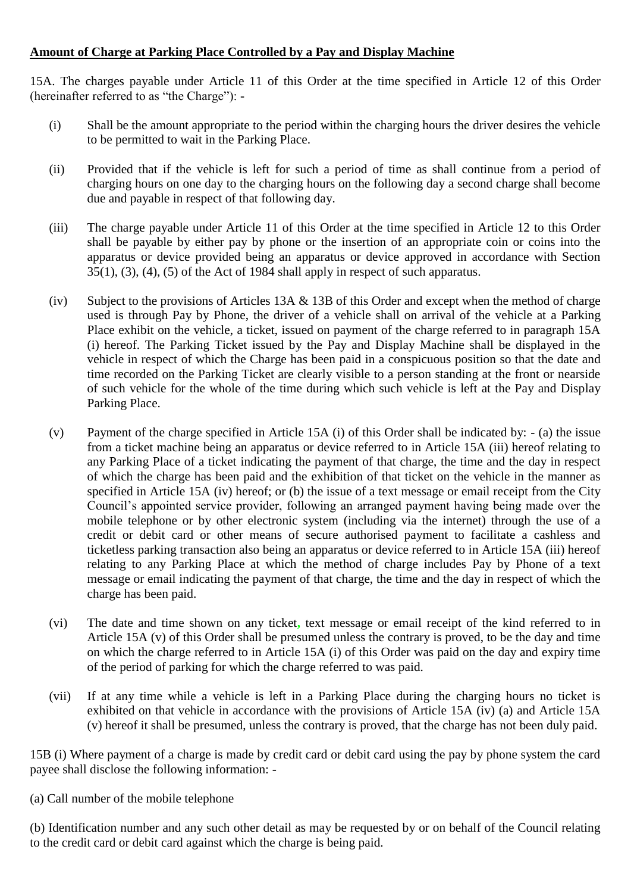# **Amount of Charge at Parking Place Controlled by a Pay and Display Machine**

15A. The charges payable under Article 11 of this Order at the time specified in Article 12 of this Order (hereinafter referred to as "the Charge"): -

- (i) Shall be the amount appropriate to the period within the charging hours the driver desires the vehicle to be permitted to wait in the Parking Place.
- (ii) Provided that if the vehicle is left for such a period of time as shall continue from a period of charging hours on one day to the charging hours on the following day a second charge shall become due and payable in respect of that following day.
- (iii) The charge payable under Article 11 of this Order at the time specified in Article 12 to this Order shall be payable by either pay by phone or the insertion of an appropriate coin or coins into the apparatus or device provided being an apparatus or device approved in accordance with Section 35(1), (3), (4), (5) of the Act of 1984 shall apply in respect of such apparatus.
- (iv) Subject to the provisions of Articles 13A & 13B of this Order and except when the method of charge used is through Pay by Phone, the driver of a vehicle shall on arrival of the vehicle at a Parking Place exhibit on the vehicle, a ticket, issued on payment of the charge referred to in paragraph 15A (i) hereof. The Parking Ticket issued by the Pay and Display Machine shall be displayed in the vehicle in respect of which the Charge has been paid in a conspicuous position so that the date and time recorded on the Parking Ticket are clearly visible to a person standing at the front or nearside of such vehicle for the whole of the time during which such vehicle is left at the Pay and Display Parking Place.
- (v) Payment of the charge specified in Article 15A (i) of this Order shall be indicated by: (a) the issue from a ticket machine being an apparatus or device referred to in Article 15A (iii) hereof relating to any Parking Place of a ticket indicating the payment of that charge, the time and the day in respect of which the charge has been paid and the exhibition of that ticket on the vehicle in the manner as specified in Article 15A (iv) hereof; or (b) the issue of a text message or email receipt from the City Council's appointed service provider, following an arranged payment having being made over the mobile telephone or by other electronic system (including via the internet) through the use of a credit or debit card or other means of secure authorised payment to facilitate a cashless and ticketless parking transaction also being an apparatus or device referred to in Article 15A (iii) hereof relating to any Parking Place at which the method of charge includes Pay by Phone of a text message or email indicating the payment of that charge, the time and the day in respect of which the charge has been paid.
- (vi) The date and time shown on any ticket**,** text message or email receipt of the kind referred to in Article 15A (v) of this Order shall be presumed unless the contrary is proved, to be the day and time on which the charge referred to in Article 15A (i) of this Order was paid on the day and expiry time of the period of parking for which the charge referred to was paid.
- (vii) If at any time while a vehicle is left in a Parking Place during the charging hours no ticket is exhibited on that vehicle in accordance with the provisions of Article 15A (iv) (a) and Article 15A (v) hereof it shall be presumed, unless the contrary is proved, that the charge has not been duly paid.

15B (i) Where payment of a charge is made by credit card or debit card using the pay by phone system the card payee shall disclose the following information: -

(a) Call number of the mobile telephone

(b) Identification number and any such other detail as may be requested by or on behalf of the Council relating to the credit card or debit card against which the charge is being paid.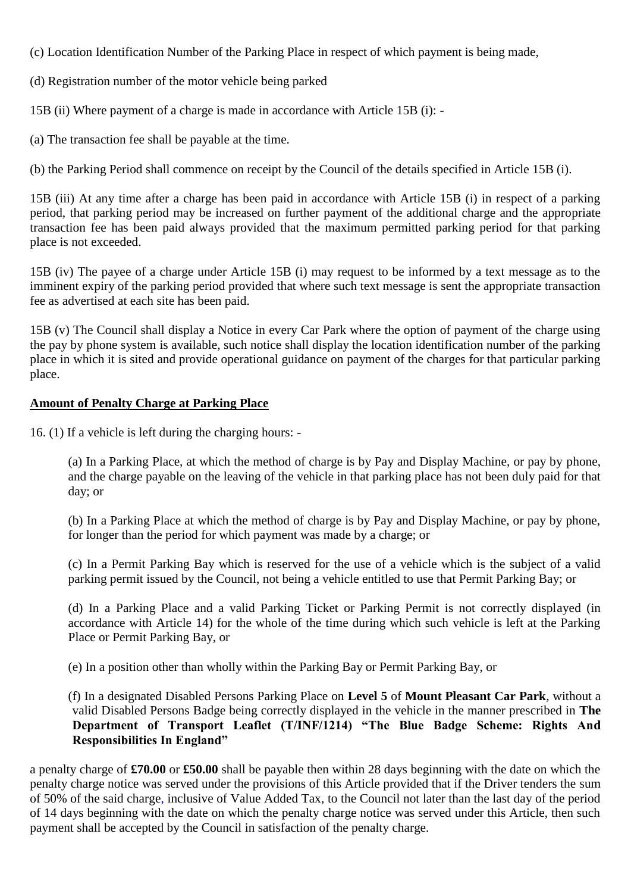(c) Location Identification Number of the Parking Place in respect of which payment is being made,

(d) Registration number of the motor vehicle being parked

15B (ii) Where payment of a charge is made in accordance with Article 15B (i): -

(a) The transaction fee shall be payable at the time.

(b) the Parking Period shall commence on receipt by the Council of the details specified in Article 15B (i).

15B (iii) At any time after a charge has been paid in accordance with Article 15B (i) in respect of a parking period, that parking period may be increased on further payment of the additional charge and the appropriate transaction fee has been paid always provided that the maximum permitted parking period for that parking place is not exceeded.

15B (iv) The payee of a charge under Article 15B (i) may request to be informed by a text message as to the imminent expiry of the parking period provided that where such text message is sent the appropriate transaction fee as advertised at each site has been paid.

15B (v) The Council shall display a Notice in every Car Park where the option of payment of the charge using the pay by phone system is available, such notice shall display the location identification number of the parking place in which it is sited and provide operational guidance on payment of the charges for that particular parking place.

#### **Amount of Penalty Charge at Parking Place**

16. (1) If a vehicle is left during the charging hours: -

(a) In a Parking Place, at which the method of charge is by Pay and Display Machine, or pay by phone, and the charge payable on the leaving of the vehicle in that parking place has not been duly paid for that day; or

(b) In a Parking Place at which the method of charge is by Pay and Display Machine, or pay by phone, for longer than the period for which payment was made by a charge; or

(c) In a Permit Parking Bay which is reserved for the use of a vehicle which is the subject of a valid parking permit issued by the Council, not being a vehicle entitled to use that Permit Parking Bay; or

(d) In a Parking Place and a valid Parking Ticket or Parking Permit is not correctly displayed (in accordance with Article 14) for the whole of the time during which such vehicle is left at the Parking Place or Permit Parking Bay, or

(e) In a position other than wholly within the Parking Bay or Permit Parking Bay, or

(f) In a designated Disabled Persons Parking Place on **Level 5** of **Mount Pleasant Car Park**, without a valid Disabled Persons Badge being correctly displayed in the vehicle in the manner prescribed in **The Department of Transport Leaflet (T/INF/1214) "The Blue Badge Scheme: Rights And Responsibilities In England"**

a penalty charge of **£70.00** or **£50.00** shall be payable then within 28 days beginning with the date on which the penalty charge notice was served under the provisions of this Article provided that if the Driver tenders the sum of 50% of the said charge, inclusive of Value Added Tax, to the Council not later than the last day of the period of 14 days beginning with the date on which the penalty charge notice was served under this Article, then such payment shall be accepted by the Council in satisfaction of the penalty charge.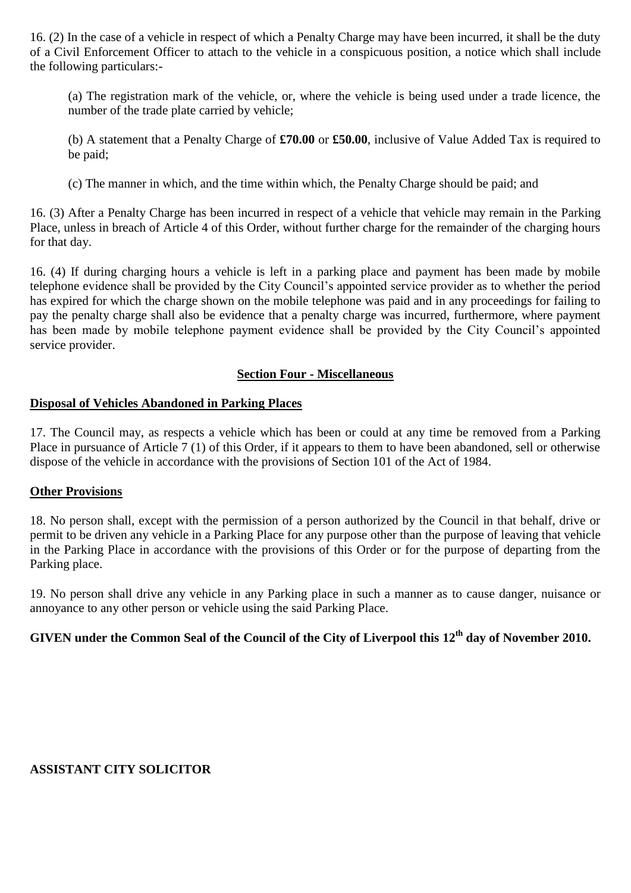16. (2) In the case of a vehicle in respect of which a Penalty Charge may have been incurred, it shall be the duty of a Civil Enforcement Officer to attach to the vehicle in a conspicuous position, a notice which shall include the following particulars:-

(a) The registration mark of the vehicle, or, where the vehicle is being used under a trade licence, the number of the trade plate carried by vehicle;

(b) A statement that a Penalty Charge of **£70.00** or **£50.00**, inclusive of Value Added Tax is required to be paid;

(c) The manner in which, and the time within which, the Penalty Charge should be paid; and

16. (3) After a Penalty Charge has been incurred in respect of a vehicle that vehicle may remain in the Parking Place, unless in breach of Article 4 of this Order, without further charge for the remainder of the charging hours for that day.

16. (4) If during charging hours a vehicle is left in a parking place and payment has been made by mobile telephone evidence shall be provided by the City Council's appointed service provider as to whether the period has expired for which the charge shown on the mobile telephone was paid and in any proceedings for failing to pay the penalty charge shall also be evidence that a penalty charge was incurred, furthermore, where payment has been made by mobile telephone payment evidence shall be provided by the City Council's appointed service provider.

#### **Section Four - Miscellaneous**

# **Disposal of Vehicles Abandoned in Parking Places**

17. The Council may, as respects a vehicle which has been or could at any time be removed from a Parking Place in pursuance of Article 7 (1) of this Order, if it appears to them to have been abandoned, sell or otherwise dispose of the vehicle in accordance with the provisions of Section 101 of the Act of 1984.

#### **Other Provisions**

18. No person shall, except with the permission of a person authorized by the Council in that behalf, drive or permit to be driven any vehicle in a Parking Place for any purpose other than the purpose of leaving that vehicle in the Parking Place in accordance with the provisions of this Order or for the purpose of departing from the Parking place.

19. No person shall drive any vehicle in any Parking place in such a manner as to cause danger, nuisance or annoyance to any other person or vehicle using the said Parking Place.

# **GIVEN under the Common Seal of the Council of the City of Liverpool this 12th day of November 2010.**

#### **ASSISTANT CITY SOLICITOR**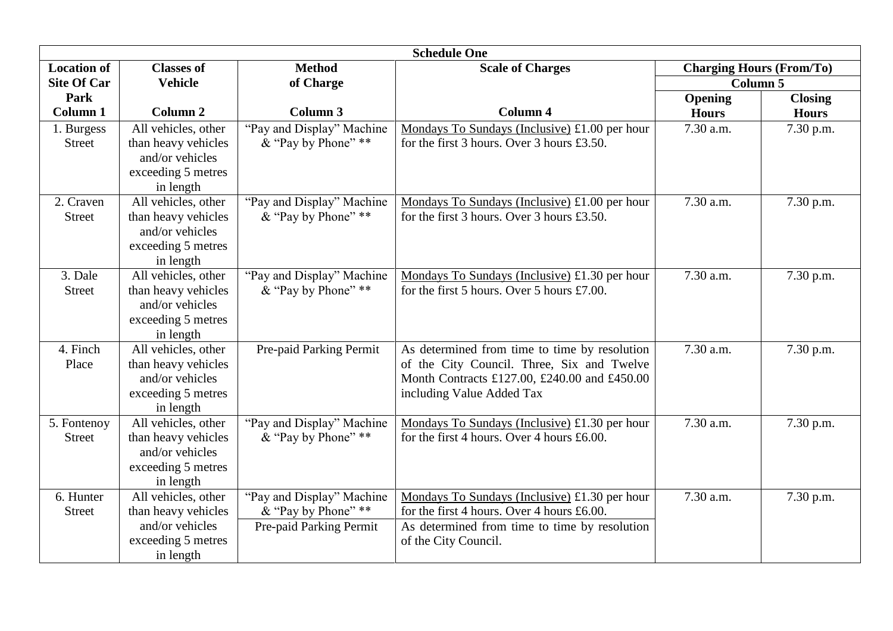| <b>Schedule One</b>          |                                                                                                  |                                                                             |                                                                                                                                                                          |                                             |                |  |
|------------------------------|--------------------------------------------------------------------------------------------------|-----------------------------------------------------------------------------|--------------------------------------------------------------------------------------------------------------------------------------------------------------------------|---------------------------------------------|----------------|--|
| <b>Location of</b>           | <b>Classes of</b>                                                                                | <b>Method</b>                                                               | <b>Scale of Charges</b>                                                                                                                                                  | <b>Charging Hours (From/To)</b><br>Column 5 |                |  |
| <b>Site Of Car</b>           | <b>Vehicle</b>                                                                                   | of Charge                                                                   |                                                                                                                                                                          |                                             |                |  |
| Park                         |                                                                                                  |                                                                             |                                                                                                                                                                          | Opening                                     | <b>Closing</b> |  |
| <b>Column 1</b>              | Column <sub>2</sub>                                                                              | Column 3                                                                    | Column <sub>4</sub>                                                                                                                                                      | <b>Hours</b>                                | <b>Hours</b>   |  |
| 1. Burgess<br><b>Street</b>  | All vehicles, other<br>than heavy vehicles<br>and/or vehicles<br>exceeding 5 metres<br>in length | "Pay and Display" Machine<br>& "Pay by Phone" **                            | Mondays To Sundays (Inclusive) £1.00 per hour<br>for the first $3$ hours. Over $3$ hours £3.50.                                                                          | 7.30 a.m.                                   | 7.30 p.m.      |  |
| 2. Craven<br><b>Street</b>   | All vehicles, other<br>than heavy vehicles<br>and/or vehicles<br>exceeding 5 metres<br>in length | "Pay and Display" Machine<br>& "Pay by Phone" **                            | Mondays To Sundays (Inclusive) £1.00 per hour<br>for the first 3 hours. Over 3 hours £3.50.                                                                              | 7.30 a.m.                                   | 7.30 p.m.      |  |
| 3. Dale<br><b>Street</b>     | All vehicles, other<br>than heavy vehicles<br>and/or vehicles<br>exceeding 5 metres<br>in length | "Pay and Display" Machine<br>& "Pay by Phone" **                            | Mondays To Sundays (Inclusive) £1.30 per hour<br>for the first 5 hours. Over 5 hours £7.00.                                                                              | 7.30 a.m.                                   | 7.30 p.m.      |  |
| 4. Finch<br>Place            | All vehicles, other<br>than heavy vehicles<br>and/or vehicles<br>exceeding 5 metres<br>in length | Pre-paid Parking Permit                                                     | As determined from time to time by resolution<br>of the City Council. Three, Six and Twelve<br>Month Contracts £127.00, £240.00 and £450.00<br>including Value Added Tax | $7.30$ a.m.                                 | 7.30 p.m.      |  |
| 5. Fontenoy<br><b>Street</b> | All vehicles, other<br>than heavy vehicles<br>and/or vehicles<br>exceeding 5 metres<br>in length | "Pay and Display" Machine<br>& "Pay by Phone" **                            | Mondays To Sundays (Inclusive) $£1.30$ per hour<br>for the first 4 hours. Over 4 hours £6.00.                                                                            | 7.30 a.m.                                   | 7.30 p.m.      |  |
| 6. Hunter<br><b>Street</b>   | All vehicles, other<br>than heavy vehicles<br>and/or vehicles<br>exceeding 5 metres<br>in length | "Pay and Display" Machine<br>& "Pay by Phone" **<br>Pre-paid Parking Permit | Mondays To Sundays (Inclusive) £1.30 per hour<br>for the first 4 hours. Over 4 hours £6.00.<br>As determined from time to time by resolution<br>of the City Council.     | 7.30 a.m.                                   | 7.30 p.m.      |  |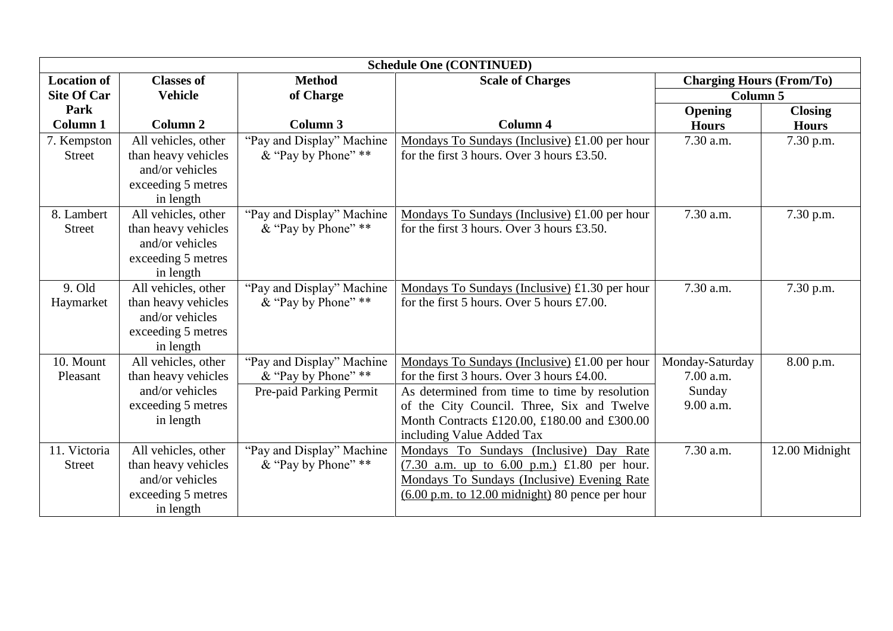| <b>Schedule One (CONTINUED)</b> |                     |                           |                                                                    |                                 |                |  |
|---------------------------------|---------------------|---------------------------|--------------------------------------------------------------------|---------------------------------|----------------|--|
| <b>Location of</b>              | <b>Classes of</b>   | <b>Method</b>             | <b>Scale of Charges</b>                                            | <b>Charging Hours (From/To)</b> |                |  |
| <b>Site Of Car</b>              | <b>Vehicle</b>      | of Charge                 |                                                                    | Column <sub>5</sub>             |                |  |
| Park                            |                     |                           |                                                                    | <b>Opening</b>                  | <b>Closing</b> |  |
| Column 1                        | Column <sub>2</sub> | Column 3                  | <b>Column 4</b>                                                    | <b>Hours</b>                    | <b>Hours</b>   |  |
| 7. Kempston                     | All vehicles, other | "Pay and Display" Machine | Mondays To Sundays (Inclusive) £1.00 per hour                      | 7.30 a.m.                       | 7.30 p.m.      |  |
| <b>Street</b>                   | than heavy vehicles | & "Pay by Phone" **       | for the first 3 hours. Over 3 hours £3.50.                         |                                 |                |  |
|                                 | and/or vehicles     |                           |                                                                    |                                 |                |  |
|                                 | exceeding 5 metres  |                           |                                                                    |                                 |                |  |
|                                 | in length           |                           |                                                                    |                                 |                |  |
| 8. Lambert                      | All vehicles, other | "Pay and Display" Machine | Mondays To Sundays (Inclusive) £1.00 per hour                      | 7.30 a.m.                       | 7.30 p.m.      |  |
| <b>Street</b>                   | than heavy vehicles | & "Pay by Phone" **       | for the first $3$ hours. Over $3$ hours £3.50.                     |                                 |                |  |
|                                 | and/or vehicles     |                           |                                                                    |                                 |                |  |
|                                 | exceeding 5 metres  |                           |                                                                    |                                 |                |  |
|                                 | in length           |                           |                                                                    |                                 |                |  |
| 9. Old                          | All vehicles, other | "Pay and Display" Machine | Mondays To Sundays (Inclusive) £1.30 per hour                      | 7.30 a.m.                       | 7.30 p.m.      |  |
| Haymarket                       | than heavy vehicles | & "Pay by Phone" **       | for the first 5 hours. Over 5 hours £7.00.                         |                                 |                |  |
|                                 | and/or vehicles     |                           |                                                                    |                                 |                |  |
|                                 | exceeding 5 metres  |                           |                                                                    |                                 |                |  |
|                                 | in length           |                           |                                                                    |                                 |                |  |
| 10. Mount                       | All vehicles, other | "Pay and Display" Machine | Mondays To Sundays (Inclusive) £1.00 per hour                      | Monday-Saturday                 | 8.00 p.m.      |  |
| Pleasant                        | than heavy vehicles | & "Pay by Phone" **       | for the first 3 hours. Over 3 hours £4.00.                         | 7.00 a.m.                       |                |  |
|                                 | and/or vehicles     | Pre-paid Parking Permit   | As determined from time to time by resolution                      | Sunday                          |                |  |
|                                 | exceeding 5 metres  |                           | of the City Council. Three, Six and Twelve                         | 9.00 a.m.                       |                |  |
|                                 | in length           |                           | Month Contracts £120.00, £180.00 and £300.00                       |                                 |                |  |
|                                 |                     |                           | including Value Added Tax                                          |                                 |                |  |
| 11. Victoria                    | All vehicles, other | "Pay and Display" Machine | Mondays To Sundays (Inclusive) Day Rate                            | 7.30 a.m.                       | 12.00 Midnight |  |
| <b>Street</b>                   | than heavy vehicles | & "Pay by Phone" **       | $(7.30$ a.m. up to 6.00 p.m.) £1.80 per hour.                      |                                 |                |  |
|                                 | and/or vehicles     |                           | Mondays To Sundays (Inclusive) Evening Rate                        |                                 |                |  |
|                                 | exceeding 5 metres  |                           | $(6.00 \text{ p.m. to } 12.00 \text{ midnight})$ 80 pence per hour |                                 |                |  |
|                                 | in length           |                           |                                                                    |                                 |                |  |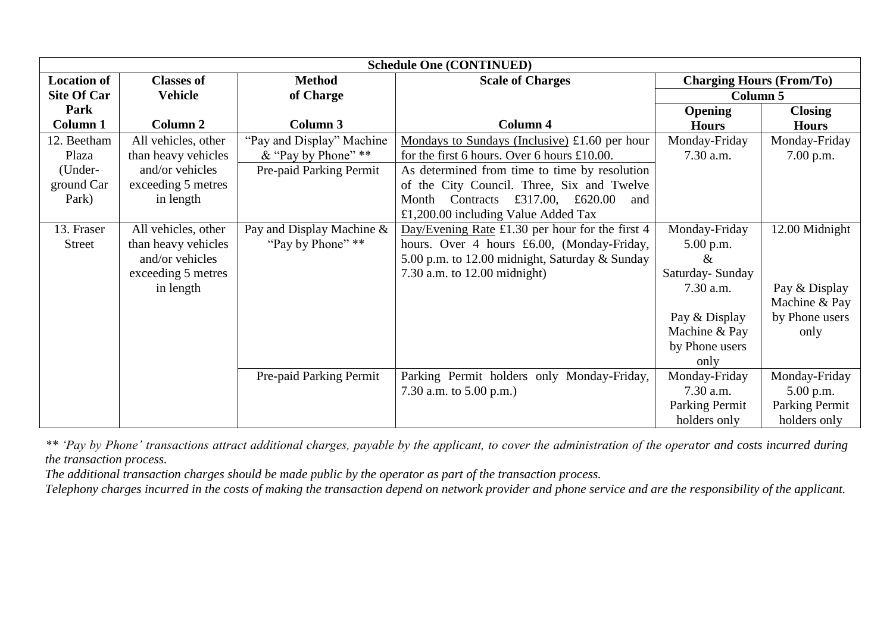| <b>Schedule One (CONTINUED)</b> |                     |                           |                                                         |                                 |                       |
|---------------------------------|---------------------|---------------------------|---------------------------------------------------------|---------------------------------|-----------------------|
| <b>Location of</b>              | <b>Classes of</b>   | <b>Method</b>             | <b>Scale of Charges</b>                                 | <b>Charging Hours (From/To)</b> |                       |
| <b>Site Of Car</b>              | <b>Vehicle</b>      | of Charge                 |                                                         | <b>Column 5</b>                 |                       |
| Park                            |                     |                           |                                                         | Opening                         | <b>Closing</b>        |
| <b>Column 1</b>                 | Column 2            | Column 3                  | <b>Column 4</b>                                         | <b>Hours</b>                    | <b>Hours</b>          |
| 12. Beetham                     | All vehicles, other | "Pay and Display" Machine | Mondays to Sundays (Inclusive) $£1.60$ per hour         | Monday-Friday                   | Monday-Friday         |
| Plaza                           | than heavy vehicles | & "Pay by Phone" **       | for the first 6 hours. Over 6 hours £10.00.             | 7.30 a.m.                       | 7.00 p.m.             |
| (Under-                         | and/or vehicles     | Pre-paid Parking Permit   | As determined from time to time by resolution           |                                 |                       |
| ground Car                      | exceeding 5 metres  |                           | of the City Council. Three, Six and Twelve              |                                 |                       |
| Park)                           | in length           |                           | Month Contracts £317.00, £620.00<br>and                 |                                 |                       |
|                                 |                     |                           | £1,200.00 including Value Added Tax                     |                                 |                       |
| 13. Fraser                      | All vehicles, other | Pay and Display Machine & | Day/Evening Rate $\pounds1.30$ per hour for the first 4 | Monday-Friday                   | 12.00 Midnight        |
| <b>Street</b>                   | than heavy vehicles | "Pay by Phone" **         | hours. Over 4 hours £6.00, (Monday-Friday,              | $5.00$ p.m.                     |                       |
|                                 | and/or vehicles     |                           | 5.00 p.m. to 12.00 midnight, Saturday & Sunday          |                                 |                       |
|                                 | exceeding 5 metres  |                           | 7.30 a.m. to $12.00$ midnight)                          | Saturday-Sunday                 |                       |
|                                 | in length           |                           |                                                         | 7.30 a.m.                       | Pay & Display         |
|                                 |                     |                           |                                                         |                                 | Machine & Pay         |
|                                 |                     |                           |                                                         | Pay & Display                   | by Phone users        |
|                                 |                     |                           |                                                         | Machine & Pay                   | only                  |
|                                 |                     |                           |                                                         | by Phone users                  |                       |
|                                 |                     |                           |                                                         | only                            |                       |
|                                 |                     | Pre-paid Parking Permit   | Parking Permit holders only Monday-Friday,              | Monday-Friday                   | Monday-Friday         |
|                                 |                     |                           | 7.30 a.m. to $5.00$ p.m.)                               | $7.30$ a.m.                     | $5.00$ p.m.           |
|                                 |                     |                           |                                                         | Parking Permit                  | <b>Parking Permit</b> |
|                                 |                     |                           |                                                         | holders only                    | holders only          |

*\*\* 'Pay by Phone' transactions attract additional charges, payable by the applicant, to cover the administration of the operator and costs incurred during the transaction process.*

*The additional transaction charges should be made public by the operator as part of the transaction process.*

*Telephony charges incurred in the costs of making the transaction depend on network provider and phone service and are the responsibility of the applicant.*